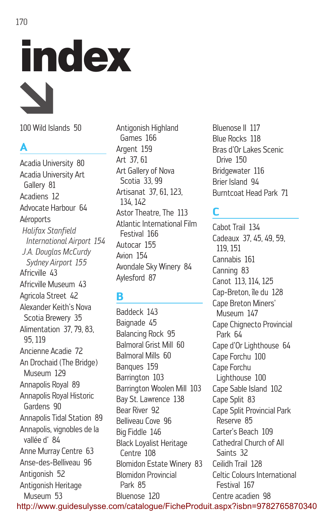# index

100 Wild Islands 50

# **A**

Acadia University 80 Acadia University Art Gallery 81 Acadiens 12 Advocate Harbour 64 Aéroports *Halifax Stanfield International Airport 154 J.A. Douglas McCurdy Sydney Airport 155* Africville 43 Africville Museum 43 Agricola Street 42 Alexander Keith's Nova Scotia Brewery 35 Alimentation 37, 79, 83, 95, 119 Ancienne Acadie 72 An Drochaid (The Bridge) Museum 129 Annapolis Royal 89 Annapolis Royal Historic Gardens 90 Annapolis Tidal Station 89 Annapolis, vignobles de la vallée d' 84 Anne Murray Centre 63 Anse-des-Belliveau 96 Antigonish 52 Antigonish Heritage Museum 53

Antigonish Highland Games 166 Argent 159 Art 37, 61 Art Gallery of Nova Scotia 33, 99 Artisanat 37, 61, 123, 134, 142 Astor Theatre, The 113 Atlantic International Film Festival 166 Autocar 155 Avion 154 Avondale Sky Winery 84 Aylesford 87

# **B**

Baddeck 143 Baignade 45 Balancing Rock 95 Balmoral Grist Mill 60 Balmoral Mills 60 Banques 159 Barrington 103 Barrington Woolen Mill 103 Bay St. Lawrence 138 Bear River 92 Belliveau Cove 96 Big Fiddle 146 Black Loyalist Heritage Centre 108 Blomidon Estate Winery 83 Blomidon Provincial Park 85 Bluenose 120

Bluenose II 117 Blue Rocks 118 Bras d'Or Lakes Scenic Drive 150 Bridgewater 116 Brier Island 94 Burntcoat Head Park 71

# **C**

Cabot Trail 134 Cadeaux 37, 45, 49, 59, 119, 151 Cannabis 161 Canning 83 Canot 113, 114, 125 Cap-Breton, île du 128 Cape Breton Miners' Museum 147 Cape Chignecto Provincial Park 64 Cape d'Or Lighthouse 64 Cape Forchu 100 Cape Forchu Lighthouse 100 Cape Sable Island 102 Cape Split 83 Cape Split Provincial Park Reserve 85 Carter's Beach 109 Cathedral Church of All Saints 32 Ceilidh Trail 128 Celtic Colours International Festival 167 Centre acadien 98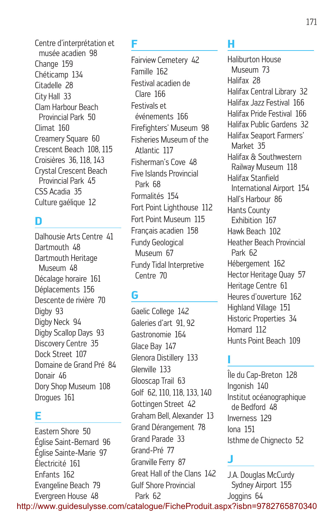Centre d'interprétation et musée acadien 98 Change 159 Chéticamp 134 Citadelle 28 City Hall 33 Clam Harbour Beach Provincial Park 50 Climat 160 Creamery Square 60 Crescent Beach 108, 115 Croisières 36, 118, 143 Crystal Crescent Beach Provincial Park 45 CSS Acadia 35 Culture gaélique 12

#### **D**

Dalhousie Arts Centre 41 Dartmouth 48 Dartmouth Heritage Museum 48 Décalage horaire 161 Déplacements 156 Descente de rivière 70 Digby 93 Digby Neck 94 Digby Scallop Days 93 Discovery Centre 35 Dock Street 107 Domaine de Grand Pré 84 Donair 46 Dory Shop Museum 108 Drogues 161

#### **E**

Eastern Shore 50 Église Saint-Bernard 96 Église Sainte-Marie 97 Électricité 161 Enfants 162 Evangeline Beach 79 Evergreen House 48

#### **F**

Fairview Cemetery 42 Famille 162 Festival acadien de Clare 166 Festivals et événements 166 Firefighters' Museum 98 Fisheries Museum of the Atlantic 117 Fisherman's Cove 48 Five Islands Provincial Park 68 Formalités 154 Fort Point Lighthouse 112 Fort Point Museum 115 Français acadien 158 Fundy Geological Museum 67 Fundy Tidal Interpretive Centre 70

# **G**

Gaelic College 142 Galeries d'art 91, 92 Gastronomie 164 Glace Bay 147 Glenora Distillery 133 Glenville 133 Glooscap Trail 63 Golf 62, 110, 118, 133, 140 Gottingen Street 42 Graham Bell, Alexander 13 Grand Dérangement 78 Grand Parade 33 Grand-Pré 77 Granville Ferry 87 Great Hall of the Clans 142 Gulf Shore Provincial Park 62

# **H**

Haliburton House Museum 73 Halifax 28 Halifax Central Library 32 Halifax Jazz Festival 166 Halifax Pride Festival 166 Halifax Public Gardens 32 Halifax Seaport Farmers' Market 35 Halifax & Southwestern Railway Museum 118 Halifax Stanfield International Airport 154 Hall's Harbour 86 Hants County Exhibition 167 Hawk Beach 102 Heather Beach Provincial Park 62 Hébergement 162 Hector Heritage Quay 57 Heritage Centre 61 Heures d'ouverture 162 Highland Village 151 Historic Properties 34 Homard 112 Hunts Point Beach 109

## **I**

Île du Cap-Breton 128 Ingonish 140 Institut océanographique de Bedford 48 Inverness 129 Iona 151 Isthme de Chignecto 52

# **J**

J.A. Douglas McCurdy Sydney Airport 155 Joggins 64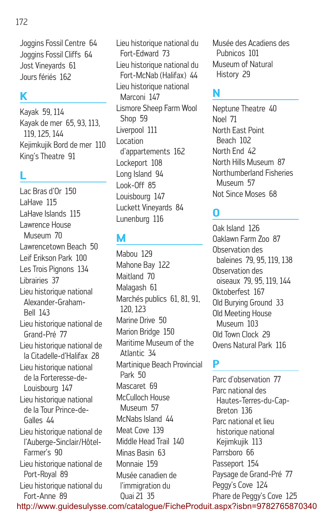#### 172

Joggins Fossil Centre 64 Joggins Fossil Cliffs 64 Jost Vineyards 61 Jours fériés 162

# **K**

Kayak 59, 114 Kayak de mer 65, 93, 113, 119, 125, 144 Kejimkujik Bord de mer 110 King's Theatre 91

# **L**

Lac Bras d'Or 150 LaHave 115 LaHave Islands 115 Lawrence House Museum 70 Lawrencetown Beach 50 Leif Erikson Park 100 Les Trois Pignons 134 Librairies 37 Lieu historique national Alexander-Graham-Bell 143 Lieu historique national de Grand-Pré 77 Lieu historique national de la Citadelle-d'Halifax 28 Lieu historique national de la Forteresse-de-Louisbourg 147 Lieu historique national de la Tour Prince-de-Galles 44 Lieu historique national de l'Auberge-Sinclair/Hôtel-Farmer's 90 Lieu historique national de Port-Royal 89 Lieu historique national du Fort-Anne 89

Lieu historique national du Fort-Edward 73 Lieu historique national du Fort-McNab (Halifax) 44 Lieu historique national Marconi 147 Lismore Sheep Farm Wool Shop 59 Liverpool 111 Location d'appartements 162 Lockeport 108 Long Island 94 Look-Off 85 Louisbourg 147 Luckett Vineyards 84 Lunenburg 116

## **M**

Mabou 129 Mahone Bay 122 Maitland 70 Malagash 61 Marchés publics 61, 81, 91, 120, 123 Marine Drive 50 Marion Bridge 150 Maritime Museum of the Atlantic 34 Martinique Beach Provincial Park 50 Mascaret 69 McCulloch House Museum 57 McNahs Island 44 Meat Cove 139 Middle Head Trail 140 Minas Basin 63 Monnaie 159 Musée canadien de l'immigration du Quai 21 35

Musée des Acadiens des Pubnicos 101 Museum of Natural History 29

#### **N**

Neptune Theatre 40 Noel 71 North East Point Beach 102 North End 42 North Hills Museum 87 Northumberland Fisheries Museum 57 Not Since Moses 68

#### **O**

Oak Island 126 Oaklawn Farm Zoo 87 Observation des baleines 79, 95, 119, 138 Observation des oiseaux 79, 95, 119, 144 Oktoberfest 167 Old Burying Ground 33 Old Meeting House Museum 103 Old Town Clock 29 Ovens Natural Park 116

#### **P**

Parc d'observation 77 Parc national des Hautes-Terres-du-Cap-Breton 136 Parc national et lieu historique national Kejimkujik 113 Parrsboro 66 Passeport 154 Paysage de Grand-Pré 77 Peggy's Cove 124 Phare de Peggy's Cove 125